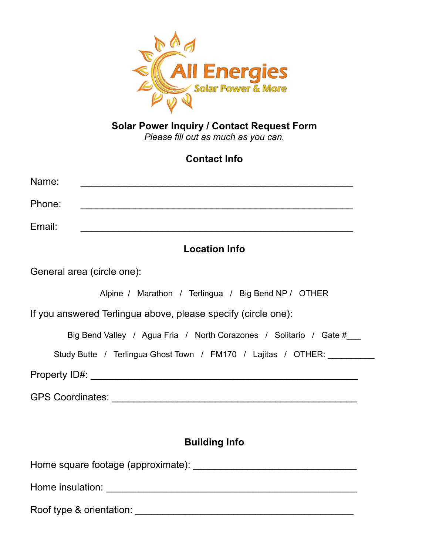

#### **Solar Power Inquiry / Contact Request Form** *Please fill out as much as you can.*

# **Contact Info**

| Name:  |  |  |  |
|--------|--|--|--|
| Phone: |  |  |  |
| Email: |  |  |  |

### **Location Info**

General area (circle one):

Alpine / Marathon / Terlingua / Big Bend NP / OTHER

If you answered Terlingua above, please specify (circle one):

Big Bend Valley / Agua Fria / North Corazones / Solitario / Gate #

Study Butte / Terlingua Ghost Town / FM170 / Lajitas / OTHER:

Property ID#: \_\_\_\_\_\_\_\_\_\_\_\_\_\_\_\_\_\_\_\_\_\_\_\_\_\_\_\_\_\_\_\_\_\_\_\_\_\_\_\_\_\_\_\_\_\_\_\_\_

GPS Coordinates: \_\_\_\_\_\_\_\_\_\_\_\_\_\_\_\_\_\_\_\_\_\_\_\_\_\_\_\_\_\_\_\_\_\_\_\_\_\_\_\_\_\_\_\_\_

### **Building Info**

Home square footage (approximate): \_\_\_\_\_\_\_\_\_\_\_\_\_\_\_\_\_\_\_\_\_\_\_\_\_\_\_\_\_\_

Home insulation: \_\_\_\_\_\_\_\_\_\_\_\_\_\_\_\_\_\_\_\_\_\_\_\_\_\_\_\_\_\_\_\_\_\_\_\_\_\_\_\_\_\_\_\_\_\_

Roof type & orientation: \_\_\_\_\_\_\_\_\_\_\_\_\_\_\_\_\_\_\_\_\_\_\_\_\_\_\_\_\_\_\_\_\_\_\_\_\_\_\_\_